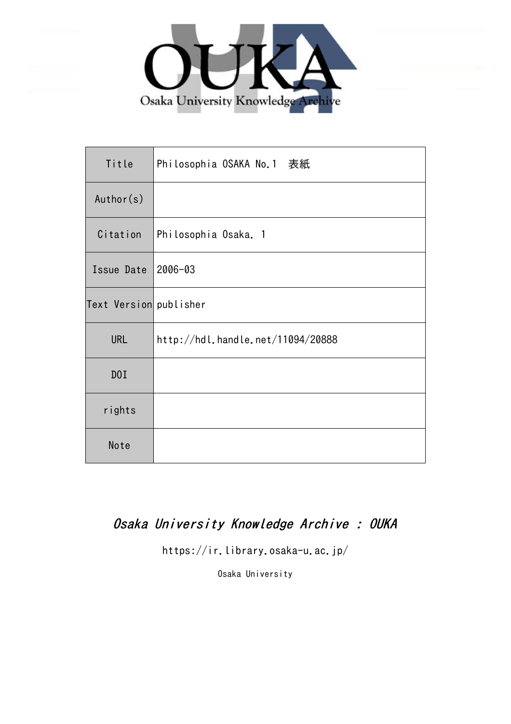

| Title                  | Philosophia OSAKA No.1 表紙         |
|------------------------|-----------------------------------|
| Author(s)              |                                   |
| Citation               | Philosophia Osaka. 1              |
| Issue Date             | $2006 - 03$                       |
| Text Version publisher |                                   |
| <b>URL</b>             | http://hdl.handle.net/11094/20888 |
| D0I                    |                                   |
| rights                 |                                   |
| Note                   |                                   |

### Osaka University Knowledge Archive : OUKA

https://ir.library.osaka-u.ac.jp/

Osaka University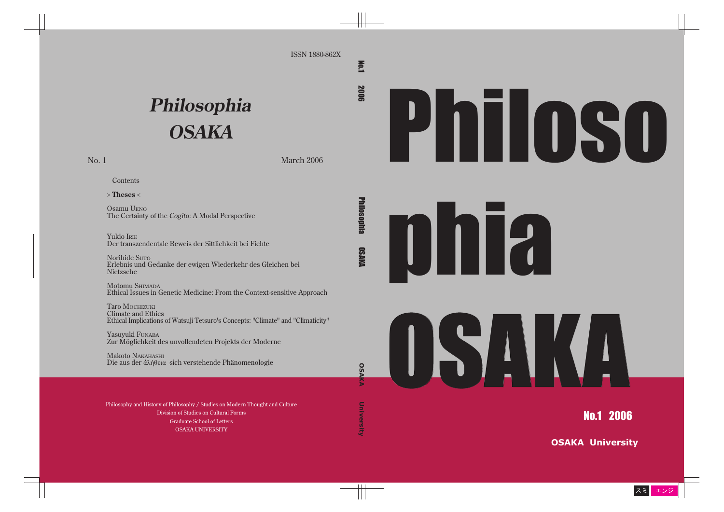## Philoso

# **philip**

### OS ANTE

No.1 2006

**OSAKA University**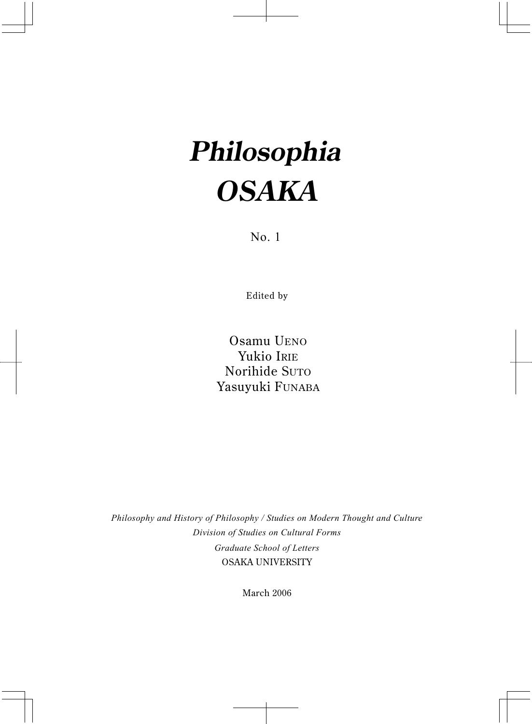### **Philosophia OSAKA**

No. 1

Edited by

Osamu UENO Yukio IRIE Norihide SUTO Yasuyuki FUNABA

*Philosophy and History of Philosophy / Studies on Modern Thought and Culture Division of Studies on Cultural Forms Graduate School of Letters* OSAKA UNIVERSITY

March 2006